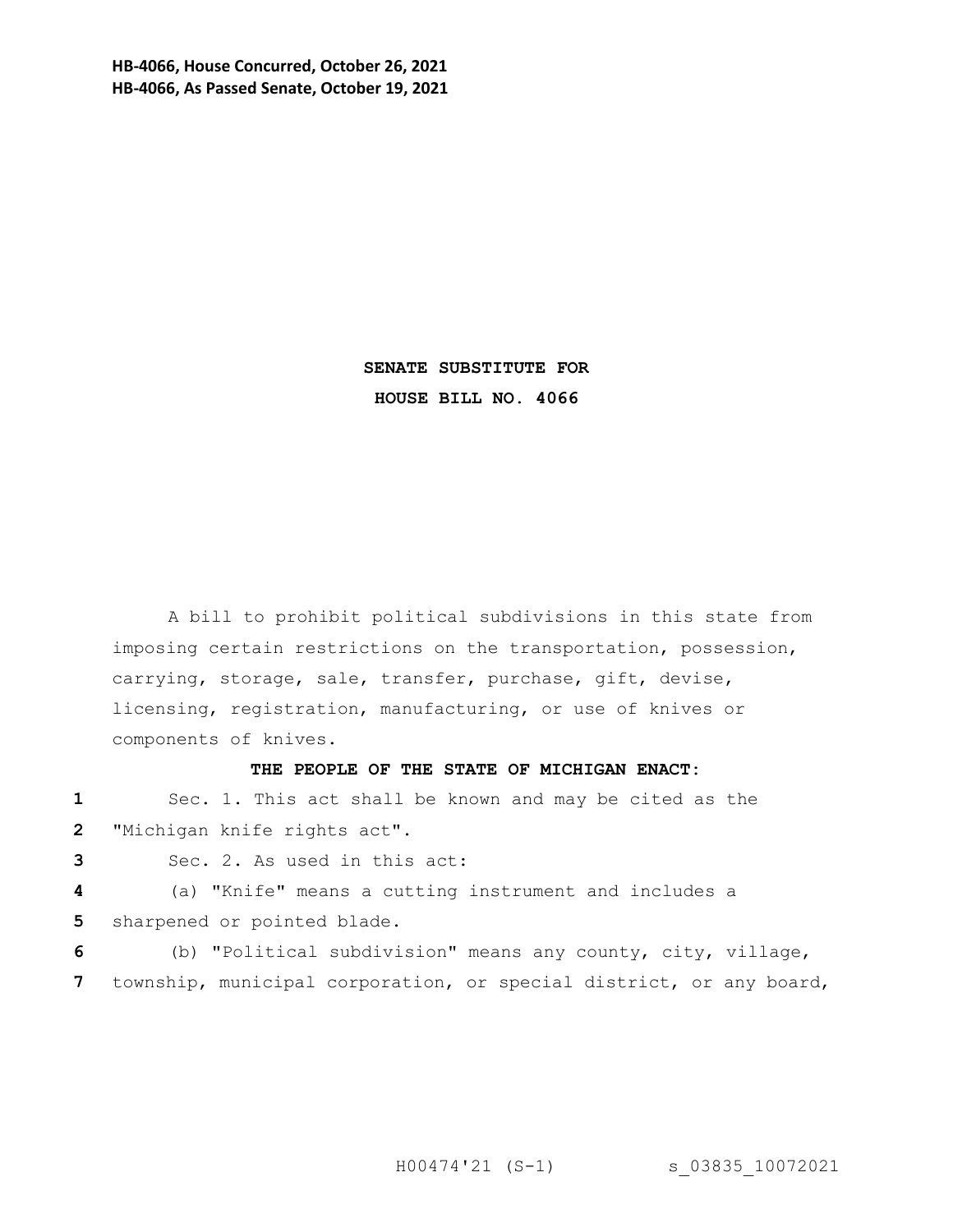**HB-4066, House Concurred, October 26, 2021 HB-4066, As Passed Senate, October 19, 2021**

> **SENATE SUBSTITUTE FOR HOUSE BILL NO. 4066**

A bill to prohibit political subdivisions in this state from imposing certain restrictions on the transportation, possession, carrying, storage, sale, transfer, purchase, gift, devise, licensing, registration, manufacturing, or use of knives or components of knives.

## **THE PEOPLE OF THE STATE OF MICHIGAN ENACT:**

**1** Sec. 1. This act shall be known and may be cited as the **2** "Michigan knife rights act".

**3** Sec. 2. As used in this act:

**4** (a) "Knife" means a cutting instrument and includes a **5** sharpened or pointed blade.

**6** (b) "Political subdivision" means any county, city, village, **7** township, municipal corporation, or special district, or any board,